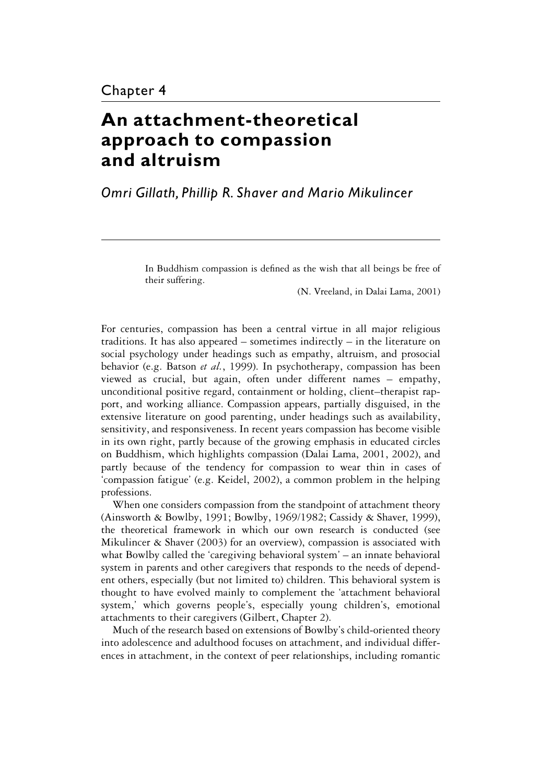# **An attachment-theoretical approach to compassion and altruism**

*Omri Gillath, Phillip R. Shaver and Mario Mikulincer*

In Buddhism compassion is defined as the wish that all beings be free of their suffering.

(N. Vreeland, in Dalai Lama, 2001)

For centuries, compassion has been a central virtue in all major religious traditions. It has also appeared – sometimes indirectly – in the literature on social psychology under headings such as empathy, altruism, and prosocial behavior (e.g. Batson *et al.*, 1999). In psychotherapy, compassion has been viewed as crucial, but again, often under different names – empathy, unconditional positive regard, containment or holding, client–therapist rapport, and working alliance. Compassion appears, partially disguised, in the extensive literature on good parenting, under headings such as availability, sensitivity, and responsiveness. In recent years compassion has become visible in its own right, partly because of the growing emphasis in educated circles on Buddhism, which highlights compassion (Dalai Lama, 2001, 2002), and partly because of the tendency for compassion to wear thin in cases of 'compassion fatigue' (e.g. Keidel, 2002), a common problem in the helping professions.

When one considers compassion from the standpoint of attachment theory (Ainsworth & Bowlby, 1991; Bowlby, 1969/1982; Cassidy & Shaver, 1999), the theoretical framework in which our own research is conducted (see Mikulincer & Shaver  $(2003)$  for an overview), compassion is associated with what Bowlby called the 'caregiving behavioral system' – an innate behavioral system in parents and other caregivers that responds to the needs of dependent others, especially (but not limited to) children. This behavioral system is thought to have evolved mainly to complement the 'attachment behavioral system,' which governs people's, especially young children's, emotional attachments to their caregivers (Gilbert, Chapter 2).

Much of the research based on extensions of Bowlby's child-oriented theory into adolescence and adulthood focuses on attachment, and individual differences in attachment, in the context of peer relationships, including romantic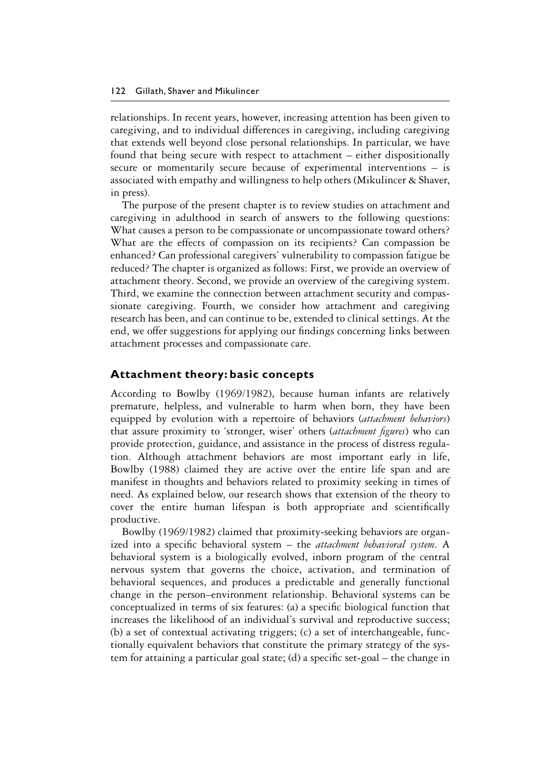relationships. In recent years, however, increasing attention has been given to caregiving, and to individual differences in caregiving, including caregiving that extends well beyond close personal relationships. In particular, we have found that being secure with respect to attachment – either dispositionally secure or momentarily secure because of experimental interventions – is associated with empathy and willingness to help others (Mikulincer & Shaver, in press).

The purpose of the present chapter is to review studies on attachment and caregiving in adulthood in search of answers to the following questions: What causes a person to be compassionate or uncompassionate toward others? What are the effects of compassion on its recipients? Can compassion be enhanced? Can professional caregivers' vulnerability to compassion fatigue be reduced? The chapter is organized as follows: First, we provide an overview of attachment theory. Second, we provide an overview of the caregiving system. Third, we examine the connection between attachment security and compassionate caregiving. Fourth, we consider how attachment and caregiving research has been, and can continue to be, extended to clinical settings. At the end, we offer suggestions for applying our findings concerning links between attachment processes and compassionate care.

# **Attachment theory: basic concepts**

According to Bowlby (1969/1982), because human infants are relatively premature, helpless, and vulnerable to harm when born, they have been equipped by evolution with a repertoire of behaviors (*attachment behaviors*) that assure proximity to 'stronger, wiser' others (*attachment figures*) who can provide protection, guidance, and assistance in the process of distress regulation. Although attachment behaviors are most important early in life, Bowlby (1988) claimed they are active over the entire life span and are manifest in thoughts and behaviors related to proximity seeking in times of need. As explained below, our research shows that extension of the theory to cover the entire human lifespan is both appropriate and scientifically productive.

Bowlby (1969/1982) claimed that proximity-seeking behaviors are organized into a specific behavioral system – the *attachment behavioral system*. A behavioral system is a biologically evolved, inborn program of the central nervous system that governs the choice, activation, and termination of behavioral sequences, and produces a predictable and generally functional change in the person–environment relationship. Behavioral systems can be conceptualized in terms of six features: (a) a specific biological function that increases the likelihood of an individual's survival and reproductive success; (b) a set of contextual activating triggers; (c) a set of interchangeable, functionally equivalent behaviors that constitute the primary strategy of the system for attaining a particular goal state; (d) a specific set-goal – the change in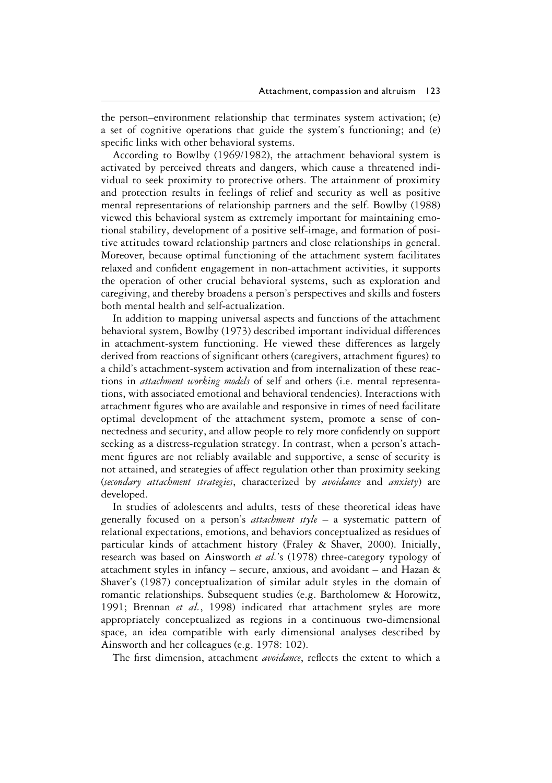the person–environment relationship that terminates system activation; (e) a set of cognitive operations that guide the system's functioning; and (e) specific links with other behavioral systems.

According to Bowlby (1969/1982), the attachment behavioral system is activated by perceived threats and dangers, which cause a threatened individual to seek proximity to protective others. The attainment of proximity and protection results in feelings of relief and security as well as positive mental representations of relationship partners and the self. Bowlby (1988) viewed this behavioral system as extremely important for maintaining emotional stability, development of a positive self-image, and formation of positive attitudes toward relationship partners and close relationships in general. Moreover, because optimal functioning of the attachment system facilitates relaxed and confident engagement in non-attachment activities, it supports the operation of other crucial behavioral systems, such as exploration and caregiving, and thereby broadens a person's perspectives and skills and fosters both mental health and self-actualization.

In addition to mapping universal aspects and functions of the attachment behavioral system, Bowlby (1973) described important individual differences in attachment-system functioning. He viewed these differences as largely derived from reactions of significant others (caregivers, attachment figures) to a child's attachment-system activation and from internalization of these reactions in *attachment working models* of self and others (i.e. mental representations, with associated emotional and behavioral tendencies). Interactions with attachment figures who are available and responsive in times of need facilitate optimal development of the attachment system, promote a sense of connectedness and security, and allow people to rely more confidently on support seeking as a distress-regulation strategy. In contrast, when a person's attachment figures are not reliably available and supportive, a sense of security is not attained, and strategies of affect regulation other than proximity seeking (*secondary attachment strategies*, characterized by *avoidance* and *anxiety*) are developed.

In studies of adolescents and adults, tests of these theoretical ideas have generally focused on a person's *attachment style* – a systematic pattern of relational expectations, emotions, and behaviors conceptualized as residues of particular kinds of attachment history (Fraley & Shaver, 2000). Initially, research was based on Ainsworth *et al.*'s (1978) three-category typology of attachment styles in infancy – secure, anxious, and avoidant – and Hazan  $\&$ Shaver's (1987) conceptualization of similar adult styles in the domain of romantic relationships. Subsequent studies (e.g. Bartholomew & Horowitz, 1991; Brennan *et al.*, 1998) indicated that attachment styles are more appropriately conceptualized as regions in a continuous two-dimensional space, an idea compatible with early dimensional analyses described by Ainsworth and her colleagues (e.g. 1978: 102).

The first dimension, attachment *avoidance*, reflects the extent to which a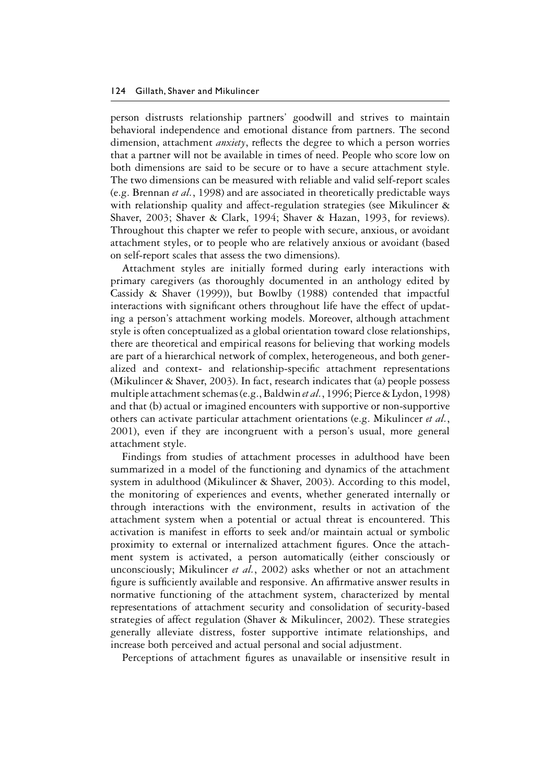person distrusts relationship partners' goodwill and strives to maintain behavioral independence and emotional distance from partners. The second dimension, attachment *anxiety*, reflects the degree to which a person worries that a partner will not be available in times of need. People who score low on both dimensions are said to be secure or to have a secure attachment style. The two dimensions can be measured with reliable and valid self-report scales (e.g. Brennan *et al.*, 1998) and are associated in theoretically predictable ways with relationship quality and affect-regulation strategies (see Mikulincer  $\&$ Shaver, 2003; Shaver & Clark, 1994; Shaver & Hazan, 1993, for reviews). Throughout this chapter we refer to people with secure, anxious, or avoidant attachment styles, or to people who are relatively anxious or avoidant (based on self-report scales that assess the two dimensions).

Attachment styles are initially formed during early interactions with primary caregivers (as thoroughly documented in an anthology edited by Cassidy & Shaver (1999)), but Bowlby (1988) contended that impactful interactions with significant others throughout life have the effect of updating a person's attachment working models. Moreover, although attachment style is often conceptualized as a global orientation toward close relationships, there are theoretical and empirical reasons for believing that working models are part of a hierarchical network of complex, heterogeneous, and both generalized and context- and relationship-specific attachment representations (Mikulincer & Shaver, 2003). In fact, research indicates that (a) people possess multiple attachment schemas (e.g., Baldwin *et al.*, 1996; Pierce & Lydon, 1998) and that (b) actual or imagined encounters with supportive or non-supportive others can activate particular attachment orientations (e.g. Mikulincer *et al.*, 2001), even if they are incongruent with a person's usual, more general attachment style.

Findings from studies of attachment processes in adulthood have been summarized in a model of the functioning and dynamics of the attachment system in adulthood (Mikulincer & Shaver, 2003). According to this model, the monitoring of experiences and events, whether generated internally or through interactions with the environment, results in activation of the attachment system when a potential or actual threat is encountered. This activation is manifest in efforts to seek and/or maintain actual or symbolic proximity to external or internalized attachment figures. Once the attachment system is activated, a person automatically (either consciously or unconsciously; Mikulincer *et al.*, 2002) asks whether or not an attachment figure is sufficiently available and responsive. An affirmative answer results in normative functioning of the attachment system, characterized by mental representations of attachment security and consolidation of security-based strategies of affect regulation (Shaver & Mikulincer, 2002). These strategies generally alleviate distress, foster supportive intimate relationships, and increase both perceived and actual personal and social adjustment.

Perceptions of attachment figures as unavailable or insensitive result in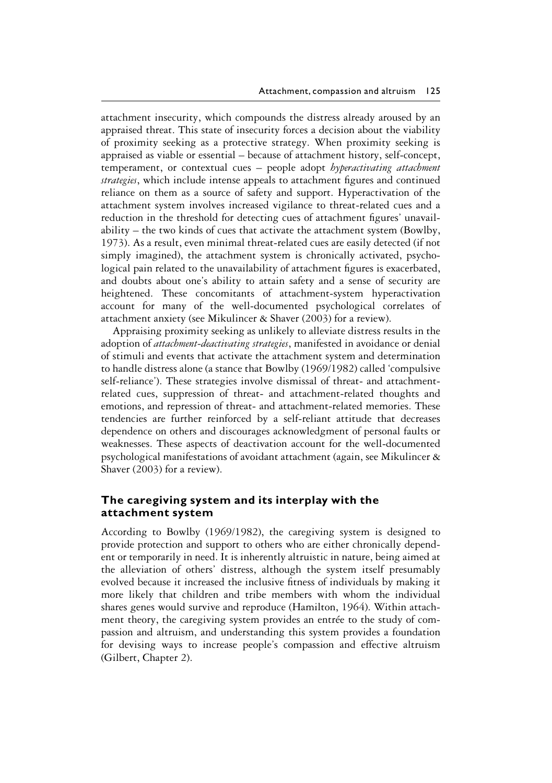attachment insecurity, which compounds the distress already aroused by an appraised threat. This state of insecurity forces a decision about the viability of proximity seeking as a protective strategy. When proximity seeking is appraised as viable or essential – because of attachment history, self-concept, temperament, or contextual cues – people adopt *hyperactivating attachment strategies*, which include intense appeals to attachment figures and continued reliance on them as a source of safety and support. Hyperactivation of the attachment system involves increased vigilance to threat-related cues and a reduction in the threshold for detecting cues of attachment figures' unavailability – the two kinds of cues that activate the attachment system (Bowlby, 1973). As a result, even minimal threat-related cues are easily detected (if not simply imagined), the attachment system is chronically activated, psychological pain related to the unavailability of attachment figures is exacerbated, and doubts about one's ability to attain safety and a sense of security are heightened. These concomitants of attachment-system hyperactivation account for many of the well-documented psychological correlates of attachment anxiety (see Mikulincer & Shaver (2003) for a review).

Appraising proximity seeking as unlikely to alleviate distress results in the adoption of *attachment-deactivating strategies*, manifested in avoidance or denial of stimuli and events that activate the attachment system and determination to handle distress alone (a stance that Bowlby (1969/1982) called 'compulsive self-reliance'). These strategies involve dismissal of threat- and attachmentrelated cues, suppression of threat- and attachment-related thoughts and emotions, and repression of threat- and attachment-related memories. These tendencies are further reinforced by a self-reliant attitude that decreases dependence on others and discourages acknowledgment of personal faults or weaknesses. These aspects of deactivation account for the well-documented psychological manifestations of avoidant attachment (again, see Mikulincer & Shaver (2003) for a review).

# **The caregiving system and its interplay with the attachment system**

According to Bowlby (1969/1982), the caregiving system is designed to provide protection and support to others who are either chronically dependent or temporarily in need. It is inherently altruistic in nature, being aimed at the alleviation of others' distress, although the system itself presumably evolved because it increased the inclusive fitness of individuals by making it more likely that children and tribe members with whom the individual shares genes would survive and reproduce (Hamilton, 1964). Within attachment theory, the caregiving system provides an entrée to the study of compassion and altruism, and understanding this system provides a foundation for devising ways to increase people's compassion and effective altruism (Gilbert, Chapter 2).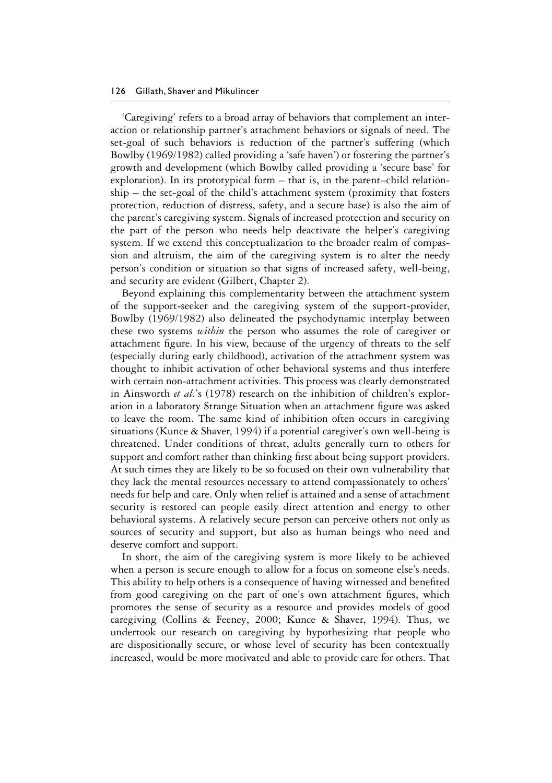'Caregiving' refers to a broad array of behaviors that complement an interaction or relationship partner's attachment behaviors or signals of need. The set-goal of such behaviors is reduction of the partner's suffering (which Bowlby (1969/1982) called providing a 'safe haven') or fostering the partner's growth and development (which Bowlby called providing a 'secure base' for exploration). In its prototypical form – that is, in the parent–child relationship – the set-goal of the child's attachment system (proximity that fosters protection, reduction of distress, safety, and a secure base) is also the aim of the parent's caregiving system. Signals of increased protection and security on the part of the person who needs help deactivate the helper's caregiving system. If we extend this conceptualization to the broader realm of compassion and altruism, the aim of the caregiving system is to alter the needy person's condition or situation so that signs of increased safety, well-being, and security are evident (Gilbert, Chapter 2).

Beyond explaining this complementarity between the attachment system of the support-seeker and the caregiving system of the support-provider, Bowlby (1969/1982) also delineated the psychodynamic interplay between these two systems *within* the person who assumes the role of caregiver or attachment figure. In his view, because of the urgency of threats to the self (especially during early childhood), activation of the attachment system was thought to inhibit activation of other behavioral systems and thus interfere with certain non-attachment activities. This process was clearly demonstrated in Ainsworth *et al.*'s (1978) research on the inhibition of children's exploration in a laboratory Strange Situation when an attachment figure was asked to leave the room. The same kind of inhibition often occurs in caregiving situations (Kunce & Shaver, 1994) if a potential caregiver's own well-being is threatened. Under conditions of threat, adults generally turn to others for support and comfort rather than thinking first about being support providers. At such times they are likely to be so focused on their own vulnerability that they lack the mental resources necessary to attend compassionately to others' needs for help and care. Only when relief is attained and a sense of attachment security is restored can people easily direct attention and energy to other behavioral systems. A relatively secure person can perceive others not only as sources of security and support, but also as human beings who need and deserve comfort and support.

In short, the aim of the caregiving system is more likely to be achieved when a person is secure enough to allow for a focus on someone else's needs. This ability to help others is a consequence of having witnessed and benefited from good caregiving on the part of one's own attachment figures, which promotes the sense of security as a resource and provides models of good caregiving (Collins & Feeney, 2000; Kunce & Shaver, 1994). Thus, we undertook our research on caregiving by hypothesizing that people who are dispositionally secure, or whose level of security has been contextually increased, would be more motivated and able to provide care for others. That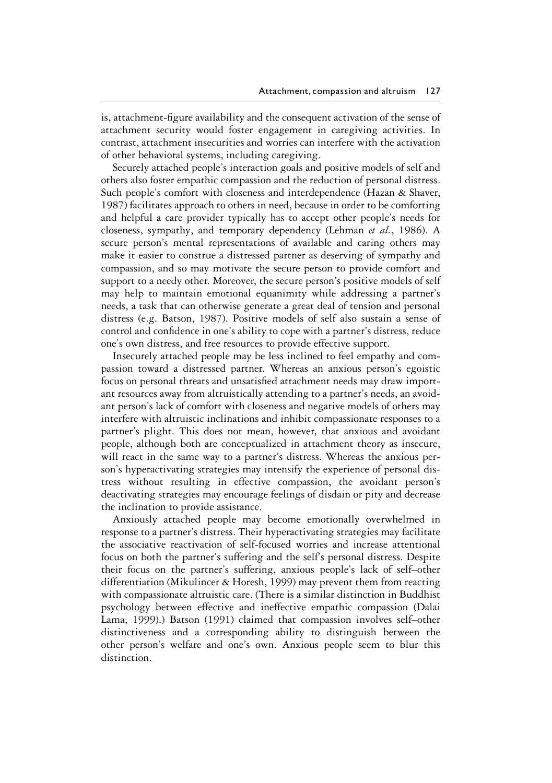is, attachment-figure availability and the consequent activation of the sense of attachment security would foster engagement in caregiving activities. In contrast, attachment insecurities and worries can interfere with the activation of other behavioral systems, including caregiving.

Securely attached people's interaction goals and positive models of self and others also foster empathic compassion and the reduction of personal distress. Such people's comfort with closeness and interdependence (Hazan & Shaver, 1987) facilitates approach to others in need, because in order to be comforting and helpful a care provider typically has to accept other people's needs for closeness, sympathy, and temporary dependency (Lehman *et al.*, 1986). A secure person's mental representations of available and caring others may make it easier to construe a distressed partner as deserving of sympathy and compassion, and so may motivate the secure person to provide comfort and support to a needy other. Moreover, the secure person's positive models of self may help to maintain emotional equanimity while addressing a partner's needs, a task that can otherwise generate a great deal of tension and personal distress (e.g. Batson, 1987). Positive models of self also sustain a sense of control and confidence in one's ability to cope with a partner's distress, reduce one's own distress, and free resources to provide effective support.

Insecurely attached people may be less inclined to feel empathy and compassion toward a distressed partner. Whereas an anxious person's egoistic focus on personal threats and unsatisfied attachment needs may draw important resources away from altruistically attending to a partner's needs, an avoidant person's lack of comfort with closeness and negative models of others may interfere with altruistic inclinations and inhibit compassionate responses to a partner's plight. This does not mean, however, that anxious and avoidant people, although both are conceptualized in attachment theory as insecure, will react in the same way to a partner's distress. Whereas the anxious person's hyperactivating strategies may intensify the experience of personal distress without resulting in effective compassion, the avoidant person's deactivating strategies may encourage feelings of disdain or pity and decrease the inclination to provide assistance.

Anxiously attached people may become emotionally overwhelmed in response to a partner's distress. Their hyperactivating strategies may facilitate the associative reactivation of self-focused worries and increase attentional focus on both the partner's suffering and the self's personal distress. Despite their focus on the partner's suffering, anxious people's lack of self–other differentiation (Mikulincer & Horesh, 1999) may prevent them from reacting with compassionate altruistic care. (There is a similar distinction in Buddhist psychology between effective and ineffective empathic compassion (Dalai Lama, 1999).) Batson (1991) claimed that compassion involves self–other distinctiveness and a corresponding ability to distinguish between the other person's welfare and one's own. Anxious people seem to blur this distinction.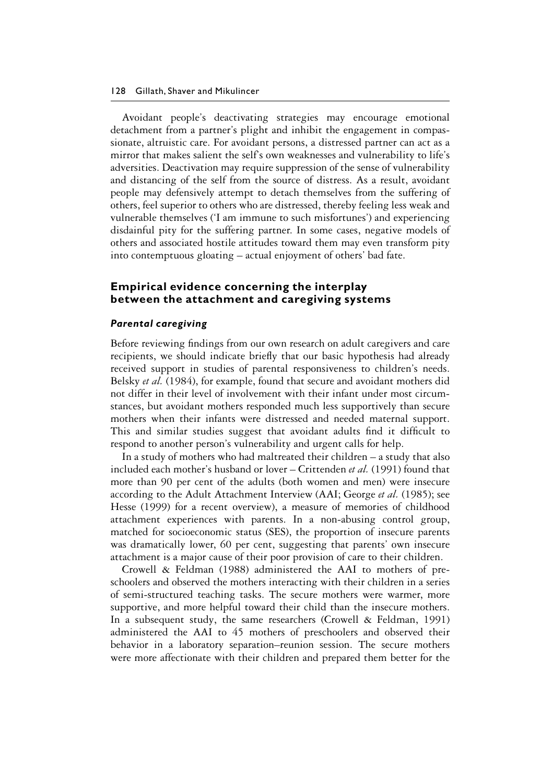Avoidant people's deactivating strategies may encourage emotional detachment from a partner's plight and inhibit the engagement in compassionate, altruistic care. For avoidant persons, a distressed partner can act as a mirror that makes salient the self's own weaknesses and vulnerability to life's adversities. Deactivation may require suppression of the sense of vulnerability and distancing of the self from the source of distress. As a result, avoidant people may defensively attempt to detach themselves from the suffering of others, feel superior to others who are distressed, thereby feeling less weak and vulnerable themselves ('I am immune to such misfortunes') and experiencing disdainful pity for the suffering partner. In some cases, negative models of others and associated hostile attitudes toward them may even transform pity into contemptuous gloating – actual enjoyment of others' bad fate.

# **Empirical evidence concerning the interplay between the attachment and caregiving systems**

## *Parental caregiving*

Before reviewing findings from our own research on adult caregivers and care recipients, we should indicate briefly that our basic hypothesis had already received support in studies of parental responsiveness to children's needs. Belsky *et al.* (1984), for example, found that secure and avoidant mothers did not differ in their level of involvement with their infant under most circumstances, but avoidant mothers responded much less supportively than secure mothers when their infants were distressed and needed maternal support. This and similar studies suggest that avoidant adults find it difficult to respond to another person's vulnerability and urgent calls for help.

In a study of mothers who had maltreated their children – a study that also included each mother's husband or lover – Crittenden *et al.* (1991) found that more than 90 per cent of the adults (both women and men) were insecure according to the Adult Attachment Interview (AAI; George *et al.* (1985); see Hesse (1999) for a recent overview), a measure of memories of childhood attachment experiences with parents. In a non-abusing control group, matched for socioeconomic status (SES), the proportion of insecure parents was dramatically lower, 60 per cent, suggesting that parents' own insecure attachment is a major cause of their poor provision of care to their children.

Crowell & Feldman (1988) administered the AAI to mothers of preschoolers and observed the mothers interacting with their children in a series of semi-structured teaching tasks. The secure mothers were warmer, more supportive, and more helpful toward their child than the insecure mothers. In a subsequent study, the same researchers (Crowell & Feldman, 1991) administered the AAI to 45 mothers of preschoolers and observed their behavior in a laboratory separation–reunion session. The secure mothers were more affectionate with their children and prepared them better for the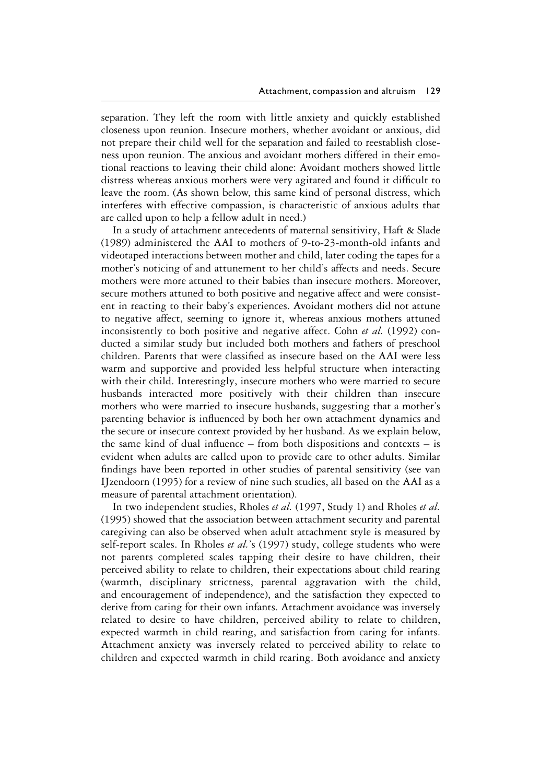separation. They left the room with little anxiety and quickly established closeness upon reunion. Insecure mothers, whether avoidant or anxious, did not prepare their child well for the separation and failed to reestablish closeness upon reunion. The anxious and avoidant mothers differed in their emotional reactions to leaving their child alone: Avoidant mothers showed little distress whereas anxious mothers were very agitated and found it difficult to leave the room. (As shown below, this same kind of personal distress, which interferes with effective compassion, is characteristic of anxious adults that are called upon to help a fellow adult in need.)

In a study of attachment antecedents of maternal sensitivity, Haft & Slade (1989) administered the AAI to mothers of 9-to-23-month-old infants and videotaped interactions between mother and child, later coding the tapes for a mother's noticing of and attunement to her child's affects and needs. Secure mothers were more attuned to their babies than insecure mothers. Moreover, secure mothers attuned to both positive and negative affect and were consistent in reacting to their baby's experiences. Avoidant mothers did not attune to negative affect, seeming to ignore it, whereas anxious mothers attuned inconsistently to both positive and negative affect. Cohn *et al.* (1992) conducted a similar study but included both mothers and fathers of preschool children. Parents that were classified as insecure based on the AAI were less warm and supportive and provided less helpful structure when interacting with their child. Interestingly, insecure mothers who were married to secure husbands interacted more positively with their children than insecure mothers who were married to insecure husbands, suggesting that a mother's parenting behavior is influenced by both her own attachment dynamics and the secure or insecure context provided by her husband. As we explain below, the same kind of dual influence – from both dispositions and contexts – is evident when adults are called upon to provide care to other adults. Similar findings have been reported in other studies of parental sensitivity (see van IJzendoorn (1995) for a review of nine such studies, all based on the AAI as a measure of parental attachment orientation).

In two independent studies, Rholes *et al.* (1997, Study 1) and Rholes *et al.* (1995) showed that the association between attachment security and parental caregiving can also be observed when adult attachment style is measured by self-report scales. In Rholes *et al.*'s (1997) study, college students who were not parents completed scales tapping their desire to have children, their perceived ability to relate to children, their expectations about child rearing (warmth, disciplinary strictness, parental aggravation with the child, and encouragement of independence), and the satisfaction they expected to derive from caring for their own infants. Attachment avoidance was inversely related to desire to have children, perceived ability to relate to children, expected warmth in child rearing, and satisfaction from caring for infants. Attachment anxiety was inversely related to perceived ability to relate to children and expected warmth in child rearing. Both avoidance and anxiety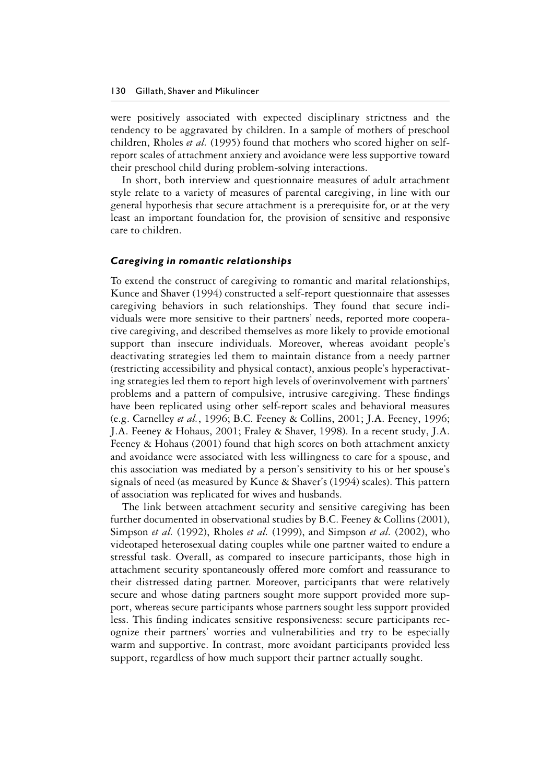were positively associated with expected disciplinary strictness and the tendency to be aggravated by children. In a sample of mothers of preschool children, Rholes *et al.* (1995) found that mothers who scored higher on selfreport scales of attachment anxiety and avoidance were less supportive toward their preschool child during problem-solving interactions.

In short, both interview and questionnaire measures of adult attachment style relate to a variety of measures of parental caregiving, in line with our general hypothesis that secure attachment is a prerequisite for, or at the very least an important foundation for, the provision of sensitive and responsive care to children.

## *Caregiving in romantic relationships*

To extend the construct of caregiving to romantic and marital relationships, Kunce and Shaver (1994) constructed a self-report questionnaire that assesses caregiving behaviors in such relationships. They found that secure individuals were more sensitive to their partners' needs, reported more cooperative caregiving, and described themselves as more likely to provide emotional support than insecure individuals. Moreover, whereas avoidant people's deactivating strategies led them to maintain distance from a needy partner (restricting accessibility and physical contact), anxious people's hyperactivating strategies led them to report high levels of overinvolvement with partners' problems and a pattern of compulsive, intrusive caregiving. These findings have been replicated using other self-report scales and behavioral measures (e.g. Carnelley *et al.*, 1996; B.C. Feeney & Collins, 2001; J.A. Feeney, 1996; J.A. Feeney & Hohaus, 2001; Fraley & Shaver, 1998). In a recent study, J.A. Feeney & Hohaus (2001) found that high scores on both attachment anxiety and avoidance were associated with less willingness to care for a spouse, and this association was mediated by a person's sensitivity to his or her spouse's signals of need (as measured by Kunce & Shaver's (1994) scales). This pattern of association was replicated for wives and husbands.

The link between attachment security and sensitive caregiving has been further documented in observational studies by B.C. Feeney & Collins (2001), Simpson *et al.* (1992), Rholes *et al.* (1999), and Simpson *et al.* (2002), who videotaped heterosexual dating couples while one partner waited to endure a stressful task. Overall, as compared to insecure participants, those high in attachment security spontaneously offered more comfort and reassurance to their distressed dating partner. Moreover, participants that were relatively secure and whose dating partners sought more support provided more support, whereas secure participants whose partners sought less support provided less. This finding indicates sensitive responsiveness: secure participants recognize their partners' worries and vulnerabilities and try to be especially warm and supportive. In contrast, more avoidant participants provided less support, regardless of how much support their partner actually sought.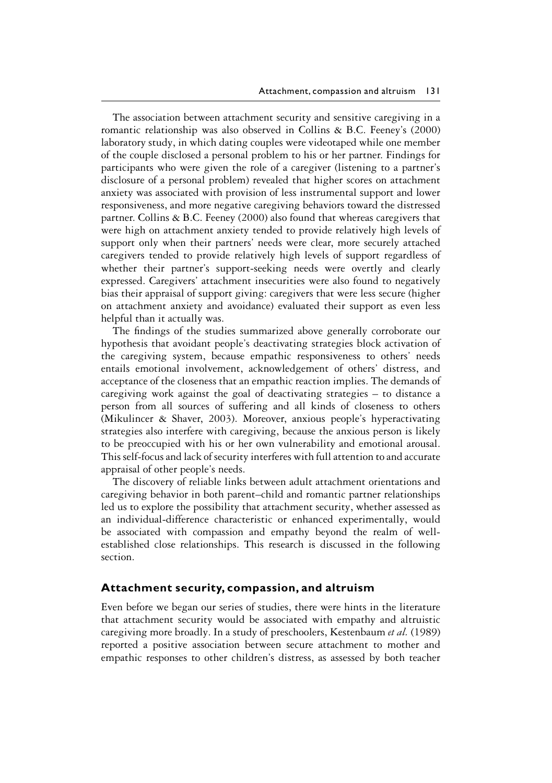The association between attachment security and sensitive caregiving in a romantic relationship was also observed in Collins & B.C. Feeney's (2000) laboratory study, in which dating couples were videotaped while one member of the couple disclosed a personal problem to his or her partner. Findings for participants who were given the role of a caregiver (listening to a partner's disclosure of a personal problem) revealed that higher scores on attachment anxiety was associated with provision of less instrumental support and lower responsiveness, and more negative caregiving behaviors toward the distressed partner. Collins & B.C. Feeney (2000) also found that whereas caregivers that were high on attachment anxiety tended to provide relatively high levels of support only when their partners' needs were clear, more securely attached caregivers tended to provide relatively high levels of support regardless of whether their partner's support-seeking needs were overtly and clearly expressed. Caregivers' attachment insecurities were also found to negatively bias their appraisal of support giving: caregivers that were less secure (higher on attachment anxiety and avoidance) evaluated their support as even less helpful than it actually was.

The findings of the studies summarized above generally corroborate our hypothesis that avoidant people's deactivating strategies block activation of the caregiving system, because empathic responsiveness to others' needs entails emotional involvement, acknowledgement of others' distress, and acceptance of the closeness that an empathic reaction implies. The demands of caregiving work against the goal of deactivating strategies – to distance a person from all sources of suffering and all kinds of closeness to others (Mikulincer & Shaver, 2003). Moreover, anxious people's hyperactivating strategies also interfere with caregiving, because the anxious person is likely to be preoccupied with his or her own vulnerability and emotional arousal. This self-focus and lack of security interferes with full attention to and accurate appraisal of other people's needs.

The discovery of reliable links between adult attachment orientations and caregiving behavior in both parent–child and romantic partner relationships led us to explore the possibility that attachment security, whether assessed as an individual-difference characteristic or enhanced experimentally, would be associated with compassion and empathy beyond the realm of wellestablished close relationships. This research is discussed in the following section.

## **Attachment security, compassion, and altruism**

Even before we began our series of studies, there were hints in the literature that attachment security would be associated with empathy and altruistic caregiving more broadly. In a study of preschoolers, Kestenbaum *et al.* (1989) reported a positive association between secure attachment to mother and empathic responses to other children's distress, as assessed by both teacher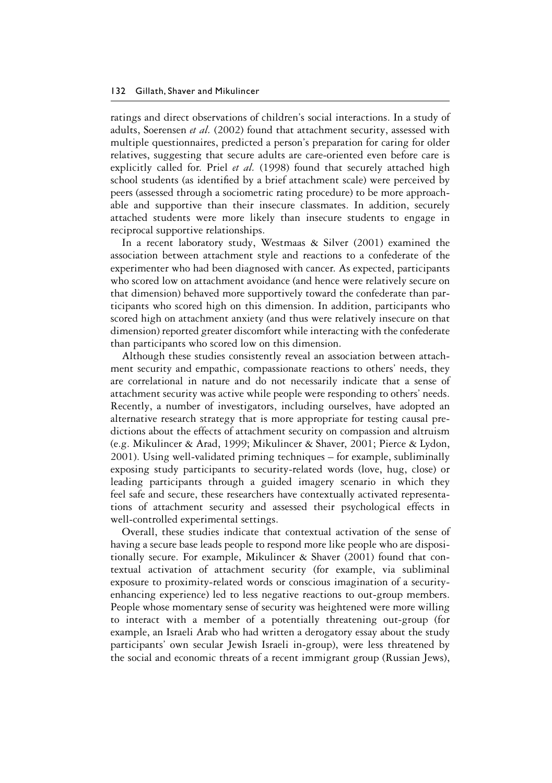ratings and direct observations of children's social interactions. In a study of adults, Soerensen *et al.* (2002) found that attachment security, assessed with multiple questionnaires, predicted a person's preparation for caring for older relatives, suggesting that secure adults are care-oriented even before care is explicitly called for. Priel *et al.* (1998) found that securely attached high school students (as identified by a brief attachment scale) were perceived by peers (assessed through a sociometric rating procedure) to be more approachable and supportive than their insecure classmates. In addition, securely attached students were more likely than insecure students to engage in reciprocal supportive relationships.

In a recent laboratory study, Westmaas & Silver (2001) examined the association between attachment style and reactions to a confederate of the experimenter who had been diagnosed with cancer. As expected, participants who scored low on attachment avoidance (and hence were relatively secure on that dimension) behaved more supportively toward the confederate than participants who scored high on this dimension. In addition, participants who scored high on attachment anxiety (and thus were relatively insecure on that dimension) reported greater discomfort while interacting with the confederate than participants who scored low on this dimension.

Although these studies consistently reveal an association between attachment security and empathic, compassionate reactions to others' needs, they are correlational in nature and do not necessarily indicate that a sense of attachment security was active while people were responding to others' needs. Recently, a number of investigators, including ourselves, have adopted an alternative research strategy that is more appropriate for testing causal predictions about the effects of attachment security on compassion and altruism (e.g. Mikulincer & Arad, 1999; Mikulincer & Shaver, 2001; Pierce & Lydon, 2001). Using well-validated priming techniques – for example, subliminally exposing study participants to security-related words (love, hug, close) or leading participants through a guided imagery scenario in which they feel safe and secure, these researchers have contextually activated representations of attachment security and assessed their psychological effects in well-controlled experimental settings.

Overall, these studies indicate that contextual activation of the sense of having a secure base leads people to respond more like people who are dispositionally secure. For example, Mikulincer & Shaver (2001) found that contextual activation of attachment security (for example, via subliminal exposure to proximity-related words or conscious imagination of a securityenhancing experience) led to less negative reactions to out-group members. People whose momentary sense of security was heightened were more willing to interact with a member of a potentially threatening out-group (for example, an Israeli Arab who had written a derogatory essay about the study participants' own secular Jewish Israeli in-group), were less threatened by the social and economic threats of a recent immigrant group (Russian Jews),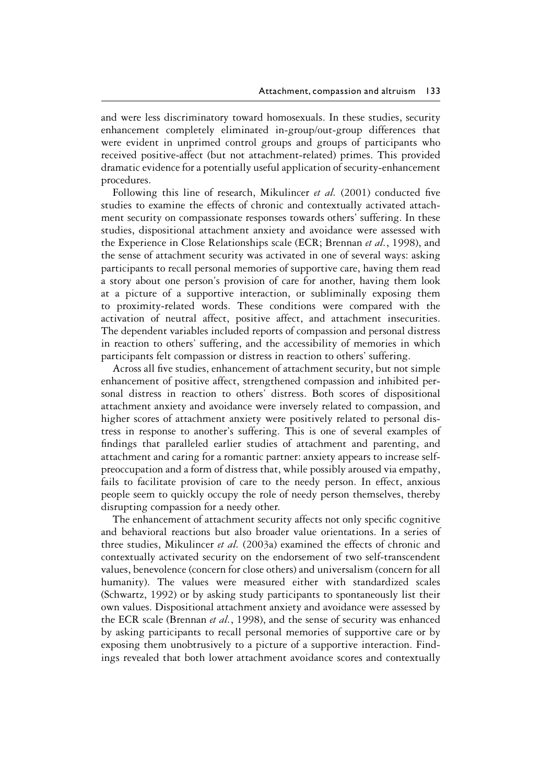and were less discriminatory toward homosexuals. In these studies, security enhancement completely eliminated in-group/out-group differences that were evident in unprimed control groups and groups of participants who received positive-affect (but not attachment-related) primes. This provided dramatic evidence for a potentially useful application of security-enhancement procedures.

Following this line of research, Mikulincer *et al.* (2001) conducted five studies to examine the effects of chronic and contextually activated attachment security on compassionate responses towards others' suffering. In these studies, dispositional attachment anxiety and avoidance were assessed with the Experience in Close Relationships scale (ECR; Brennan *et al.*, 1998), and the sense of attachment security was activated in one of several ways: asking participants to recall personal memories of supportive care, having them read a story about one person's provision of care for another, having them look at a picture of a supportive interaction, or subliminally exposing them to proximity-related words. These conditions were compared with the activation of neutral affect, positive affect, and attachment insecurities. The dependent variables included reports of compassion and personal distress in reaction to others' suffering, and the accessibility of memories in which participants felt compassion or distress in reaction to others' suffering.

Across all five studies, enhancement of attachment security, but not simple enhancement of positive affect, strengthened compassion and inhibited personal distress in reaction to others' distress. Both scores of dispositional attachment anxiety and avoidance were inversely related to compassion, and higher scores of attachment anxiety were positively related to personal distress in response to another's suffering. This is one of several examples of findings that paralleled earlier studies of attachment and parenting, and attachment and caring for a romantic partner: anxiety appears to increase selfpreoccupation and a form of distress that, while possibly aroused via empathy, fails to facilitate provision of care to the needy person. In effect, anxious people seem to quickly occupy the role of needy person themselves, thereby disrupting compassion for a needy other.

The enhancement of attachment security affects not only specific cognitive and behavioral reactions but also broader value orientations. In a series of three studies, Mikulincer *et al.* (2003a) examined the effects of chronic and contextually activated security on the endorsement of two self-transcendent values, benevolence (concern for close others) and universalism (concern for all humanity). The values were measured either with standardized scales (Schwartz, 1992) or by asking study participants to spontaneously list their own values. Dispositional attachment anxiety and avoidance were assessed by the ECR scale (Brennan *et al.*, 1998), and the sense of security was enhanced by asking participants to recall personal memories of supportive care or by exposing them unobtrusively to a picture of a supportive interaction. Findings revealed that both lower attachment avoidance scores and contextually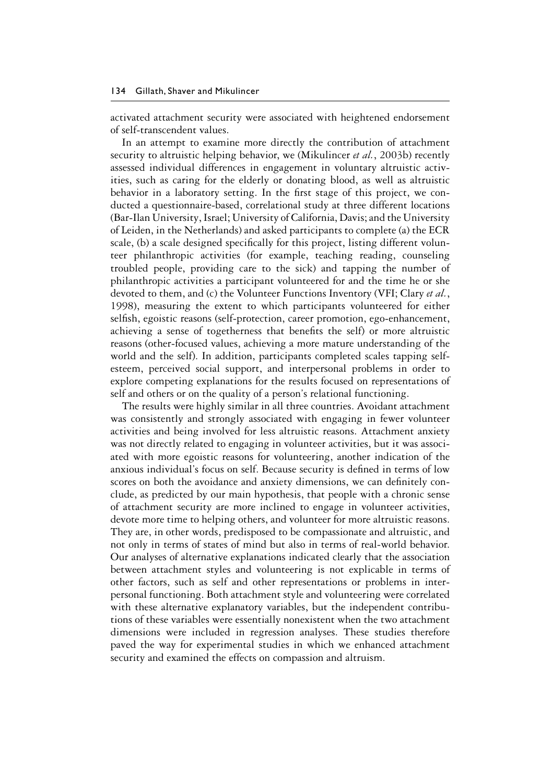activated attachment security were associated with heightened endorsement of self-transcendent values.

In an attempt to examine more directly the contribution of attachment security to altruistic helping behavior, we (Mikulincer *et al.*, 2003b) recently assessed individual differences in engagement in voluntary altruistic activities, such as caring for the elderly or donating blood, as well as altruistic behavior in a laboratory setting. In the first stage of this project, we conducted a questionnaire-based, correlational study at three different locations (Bar-Ilan University, Israel; University of California, Davis; and the University of Leiden, in the Netherlands) and asked participants to complete (a) the ECR scale, (b) a scale designed specifically for this project, listing different volunteer philanthropic activities (for example, teaching reading, counseling troubled people, providing care to the sick) and tapping the number of philanthropic activities a participant volunteered for and the time he or she devoted to them, and (c) the Volunteer Functions Inventory (VFI; Clary *et al.*, 1998), measuring the extent to which participants volunteered for either selfish, egoistic reasons (self-protection, career promotion, ego-enhancement, achieving a sense of togetherness that benefits the self) or more altruistic reasons (other-focused values, achieving a more mature understanding of the world and the self). In addition, participants completed scales tapping selfesteem, perceived social support, and interpersonal problems in order to explore competing explanations for the results focused on representations of self and others or on the quality of a person's relational functioning.

The results were highly similar in all three countries. Avoidant attachment was consistently and strongly associated with engaging in fewer volunteer activities and being involved for less altruistic reasons. Attachment anxiety was not directly related to engaging in volunteer activities, but it was associated with more egoistic reasons for volunteering, another indication of the anxious individual's focus on self. Because security is defined in terms of low scores on both the avoidance and anxiety dimensions, we can definitely conclude, as predicted by our main hypothesis, that people with a chronic sense of attachment security are more inclined to engage in volunteer activities, devote more time to helping others, and volunteer for more altruistic reasons. They are, in other words, predisposed to be compassionate and altruistic, and not only in terms of states of mind but also in terms of real-world behavior. Our analyses of alternative explanations indicated clearly that the association between attachment styles and volunteering is not explicable in terms of other factors, such as self and other representations or problems in interpersonal functioning. Both attachment style and volunteering were correlated with these alternative explanatory variables, but the independent contributions of these variables were essentially nonexistent when the two attachment dimensions were included in regression analyses. These studies therefore paved the way for experimental studies in which we enhanced attachment security and examined the effects on compassion and altruism.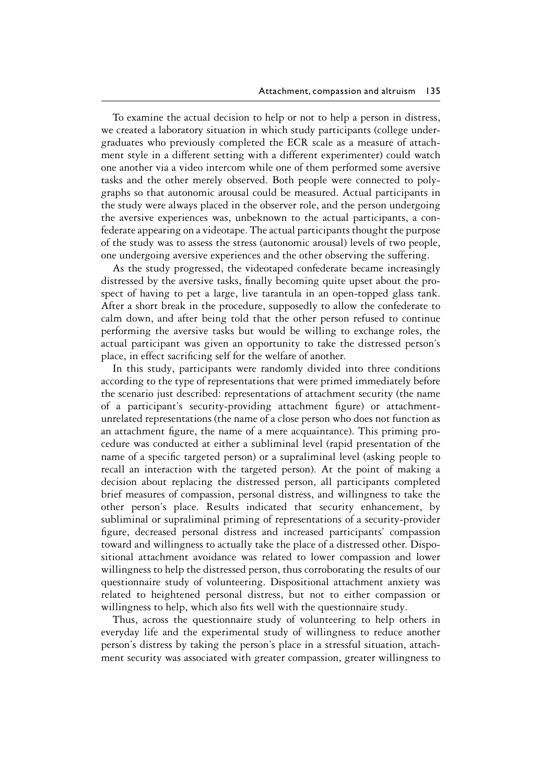To examine the actual decision to help or not to help a person in distress, we created a laboratory situation in which study participants (college undergraduates who previously completed the ECR scale as a measure of attachment style in a different setting with a different experimenter) could watch one another via a video intercom while one of them performed some aversive tasks and the other merely observed. Both people were connected to polygraphs so that autonomic arousal could be measured. Actual participants in the study were always placed in the observer role, and the person undergoing the aversive experiences was, unbeknown to the actual participants, a confederate appearing on a videotape. The actual participants thought the purpose of the study was to assess the stress (autonomic arousal) levels of two people, one undergoing aversive experiences and the other observing the suffering.

As the study progressed, the videotaped confederate became increasingly distressed by the aversive tasks, finally becoming quite upset about the prospect of having to pet a large, live tarantula in an open-topped glass tank. After a short break in the procedure, supposedly to allow the confederate to calm down, and after being told that the other person refused to continue performing the aversive tasks but would be willing to exchange roles, the actual participant was given an opportunity to take the distressed person's place, in effect sacrificing self for the welfare of another.

In this study, participants were randomly divided into three conditions according to the type of representations that were primed immediately before the scenario just described: representations of attachment security (the name of a participant's security-providing attachment figure) or attachmentunrelated representations (the name of a close person who does not function as an attachment figure, the name of a mere acquaintance). This priming procedure was conducted at either a subliminal level (rapid presentation of the name of a specific targeted person) or a supraliminal level (asking people to recall an interaction with the targeted person). At the point of making a decision about replacing the distressed person, all participants completed brief measures of compassion, personal distress, and willingness to take the other person's place. Results indicated that security enhancement, by subliminal or supraliminal priming of representations of a security-provider figure, decreased personal distress and increased participants' compassion toward and willingness to actually take the place of a distressed other. Dispositional attachment avoidance was related to lower compassion and lower willingness to help the distressed person, thus corroborating the results of our questionnaire study of volunteering. Dispositional attachment anxiety was related to heightened personal distress, but not to either compassion or willingness to help, which also fits well with the questionnaire study.

Thus, across the questionnaire study of volunteering to help others in everyday life and the experimental study of willingness to reduce another person's distress by taking the person's place in a stressful situation, attachment security was associated with greater compassion, greater willingness to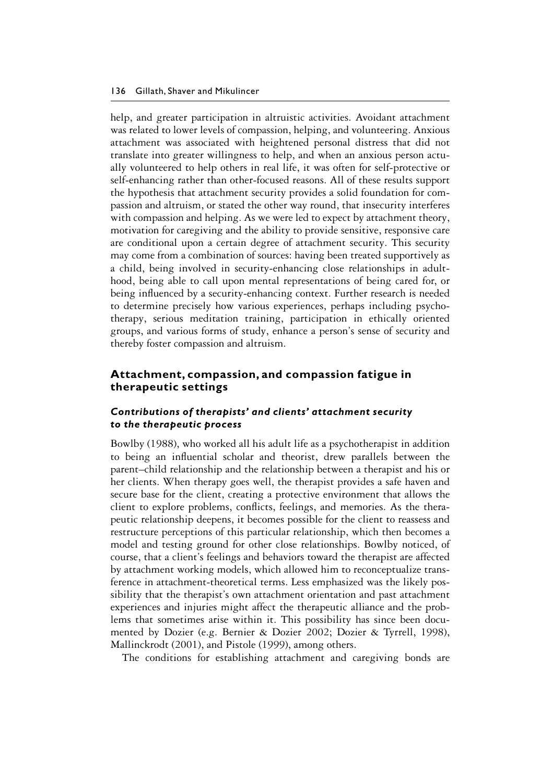help, and greater participation in altruistic activities. Avoidant attachment was related to lower levels of compassion, helping, and volunteering. Anxious attachment was associated with heightened personal distress that did not translate into greater willingness to help, and when an anxious person actually volunteered to help others in real life, it was often for self-protective or self-enhancing rather than other-focused reasons. All of these results support the hypothesis that attachment security provides a solid foundation for compassion and altruism, or stated the other way round, that insecurity interferes with compassion and helping. As we were led to expect by attachment theory, motivation for caregiving and the ability to provide sensitive, responsive care are conditional upon a certain degree of attachment security. This security may come from a combination of sources: having been treated supportively as a child, being involved in security-enhancing close relationships in adulthood, being able to call upon mental representations of being cared for, or being influenced by a security-enhancing context. Further research is needed to determine precisely how various experiences, perhaps including psychotherapy, serious meditation training, participation in ethically oriented groups, and various forms of study, enhance a person's sense of security and thereby foster compassion and altruism.

# **Attachment, compassion, and compassion fatigue in therapeutic settings**

# *Contributions of therapists' and clients' attachment security to the therapeutic process*

Bowlby (1988), who worked all his adult life as a psychotherapist in addition to being an influential scholar and theorist, drew parallels between the parent–child relationship and the relationship between a therapist and his or her clients. When therapy goes well, the therapist provides a safe haven and secure base for the client, creating a protective environment that allows the client to explore problems, conflicts, feelings, and memories. As the therapeutic relationship deepens, it becomes possible for the client to reassess and restructure perceptions of this particular relationship, which then becomes a model and testing ground for other close relationships. Bowlby noticed, of course, that a client's feelings and behaviors toward the therapist are affected by attachment working models, which allowed him to reconceptualize transference in attachment-theoretical terms. Less emphasized was the likely possibility that the therapist's own attachment orientation and past attachment experiences and injuries might affect the therapeutic alliance and the problems that sometimes arise within it. This possibility has since been documented by Dozier (e.g. Bernier & Dozier 2002; Dozier & Tyrrell, 1998), Mallinckrodt (2001), and Pistole (1999), among others.

The conditions for establishing attachment and caregiving bonds are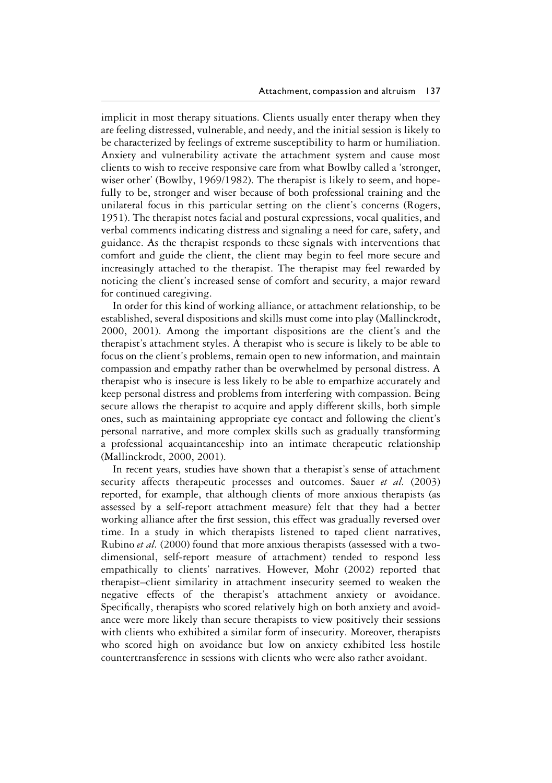implicit in most therapy situations. Clients usually enter therapy when they are feeling distressed, vulnerable, and needy, and the initial session is likely to be characterized by feelings of extreme susceptibility to harm or humiliation. Anxiety and vulnerability activate the attachment system and cause most clients to wish to receive responsive care from what Bowlby called a 'stronger, wiser other' (Bowlby, 1969/1982). The therapist is likely to seem, and hopefully to be, stronger and wiser because of both professional training and the unilateral focus in this particular setting on the client's concerns (Rogers, 1951). The therapist notes facial and postural expressions, vocal qualities, and verbal comments indicating distress and signaling a need for care, safety, and guidance. As the therapist responds to these signals with interventions that comfort and guide the client, the client may begin to feel more secure and increasingly attached to the therapist. The therapist may feel rewarded by noticing the client's increased sense of comfort and security, a major reward for continued caregiving.

In order for this kind of working alliance, or attachment relationship, to be established, several dispositions and skills must come into play (Mallinckrodt, 2000, 2001). Among the important dispositions are the client's and the therapist's attachment styles. A therapist who is secure is likely to be able to focus on the client's problems, remain open to new information, and maintain compassion and empathy rather than be overwhelmed by personal distress. A therapist who is insecure is less likely to be able to empathize accurately and keep personal distress and problems from interfering with compassion. Being secure allows the therapist to acquire and apply different skills, both simple ones, such as maintaining appropriate eye contact and following the client's personal narrative, and more complex skills such as gradually transforming a professional acquaintanceship into an intimate therapeutic relationship (Mallinckrodt, 2000, 2001).

In recent years, studies have shown that a therapist's sense of attachment security affects therapeutic processes and outcomes. Sauer *et al.* (2003) reported, for example, that although clients of more anxious therapists (as assessed by a self-report attachment measure) felt that they had a better working alliance after the first session, this effect was gradually reversed over time. In a study in which therapists listened to taped client narratives, Rubino *et al.* (2000) found that more anxious therapists (assessed with a twodimensional, self-report measure of attachment) tended to respond less empathically to clients' narratives. However, Mohr (2002) reported that therapist–client similarity in attachment insecurity seemed to weaken the negative effects of the therapist's attachment anxiety or avoidance. Specifically, therapists who scored relatively high on both anxiety and avoidance were more likely than secure therapists to view positively their sessions with clients who exhibited a similar form of insecurity. Moreover, therapists who scored high on avoidance but low on anxiety exhibited less hostile countertransference in sessions with clients who were also rather avoidant.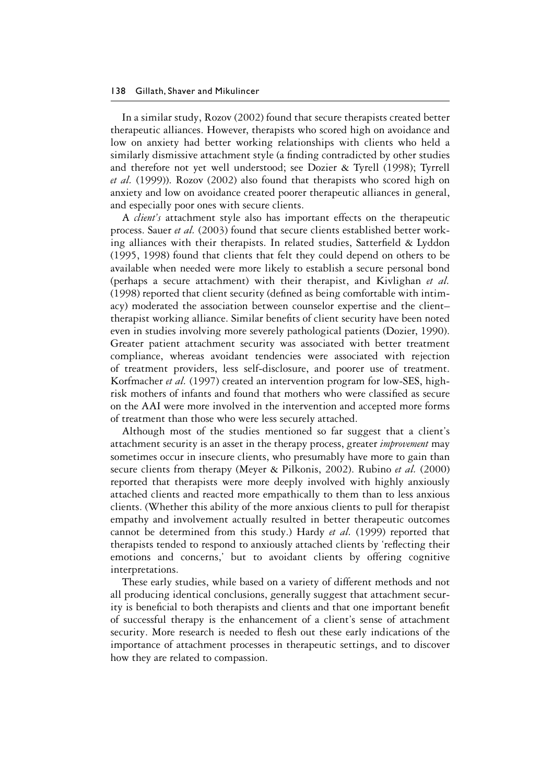In a similar study, Rozov (2002) found that secure therapists created better therapeutic alliances. However, therapists who scored high on avoidance and low on anxiety had better working relationships with clients who held a similarly dismissive attachment style (a finding contradicted by other studies and therefore not yet well understood; see Dozier & Tyrell (1998); Tyrrell *et al.* (1999)). Rozov (2002) also found that therapists who scored high on anxiety and low on avoidance created poorer therapeutic alliances in general, and especially poor ones with secure clients.

A *client's* attachment style also has important effects on the therapeutic process. Sauer *et al.* (2003) found that secure clients established better working alliances with their therapists. In related studies, Satterfield & Lyddon (1995, 1998) found that clients that felt they could depend on others to be available when needed were more likely to establish a secure personal bond (perhaps a secure attachment) with their therapist, and Kivlighan *et al.* (1998) reported that client security (defined as being comfortable with intimacy) moderated the association between counselor expertise and the client– therapist working alliance. Similar benefits of client security have been noted even in studies involving more severely pathological patients (Dozier, 1990). Greater patient attachment security was associated with better treatment compliance, whereas avoidant tendencies were associated with rejection of treatment providers, less self-disclosure, and poorer use of treatment. Korfmacher *et al.* (1997) created an intervention program for low-SES, highrisk mothers of infants and found that mothers who were classified as secure on the AAI were more involved in the intervention and accepted more forms of treatment than those who were less securely attached.

Although most of the studies mentioned so far suggest that a client's attachment security is an asset in the therapy process, greater *improvement* may sometimes occur in insecure clients, who presumably have more to gain than secure clients from therapy (Meyer & Pilkonis, 2002). Rubino *et al.* (2000) reported that therapists were more deeply involved with highly anxiously attached clients and reacted more empathically to them than to less anxious clients. (Whether this ability of the more anxious clients to pull for therapist empathy and involvement actually resulted in better therapeutic outcomes cannot be determined from this study.) Hardy *et al.* (1999) reported that therapists tended to respond to anxiously attached clients by 'reflecting their emotions and concerns,' but to avoidant clients by offering cognitive interpretations.

These early studies, while based on a variety of different methods and not all producing identical conclusions, generally suggest that attachment security is beneficial to both therapists and clients and that one important benefit of successful therapy is the enhancement of a client's sense of attachment security. More research is needed to flesh out these early indications of the importance of attachment processes in therapeutic settings, and to discover how they are related to compassion.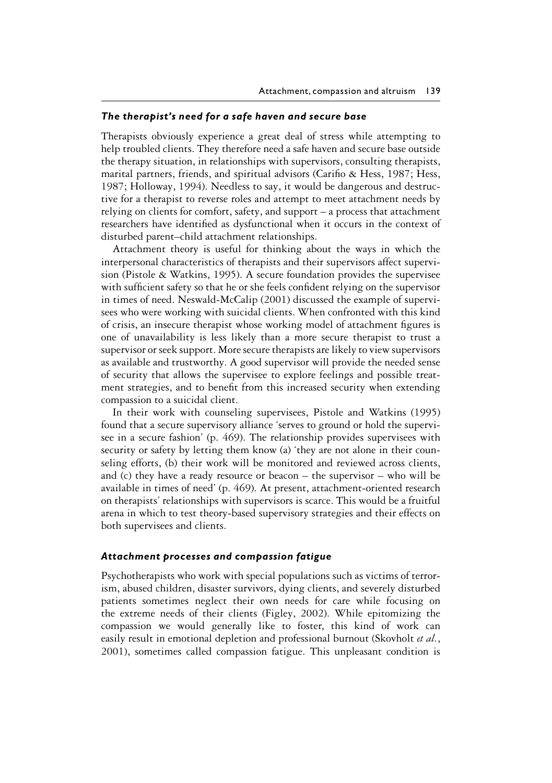## *The therapist's need for a safe haven and secure base*

Therapists obviously experience a great deal of stress while attempting to help troubled clients. They therefore need a safe haven and secure base outside the therapy situation, in relationships with supervisors, consulting therapists, marital partners, friends, and spiritual advisors (Carifio & Hess, 1987; Hess, 1987; Holloway, 1994). Needless to say, it would be dangerous and destructive for a therapist to reverse roles and attempt to meet attachment needs by relying on clients for comfort, safety, and support – a process that attachment researchers have identified as dysfunctional when it occurs in the context of disturbed parent–child attachment relationships.

Attachment theory is useful for thinking about the ways in which the interpersonal characteristics of therapists and their supervisors affect supervision (Pistole & Watkins, 1995). A secure foundation provides the supervisee with sufficient safety so that he or she feels confident relying on the supervisor in times of need. Neswald-McCalip (2001) discussed the example of supervisees who were working with suicidal clients. When confronted with this kind of crisis, an insecure therapist whose working model of attachment figures is one of unavailability is less likely than a more secure therapist to trust a supervisor or seek support. More secure therapists are likely to view supervisors as available and trustworthy. A good supervisor will provide the needed sense of security that allows the supervisee to explore feelings and possible treatment strategies, and to benefit from this increased security when extending compassion to a suicidal client.

In their work with counseling supervisees, Pistole and Watkins (1995) found that a secure supervisory alliance 'serves to ground or hold the supervisee in a secure fashion' (p. 469). The relationship provides supervisees with security or safety by letting them know (a) 'they are not alone in their counseling efforts, (b) their work will be monitored and reviewed across clients, and (c) they have a ready resource or beacon – the supervisor – who will be available in times of need' (p. 469). At present, attachment-oriented research on therapists' relationships with supervisors is scarce. This would be a fruitful arena in which to test theory-based supervisory strategies and their effects on both supervisees and clients.

## *Attachment processes and compassion fatigue*

Psychotherapists who work with special populations such as victims of terrorism, abused children, disaster survivors, dying clients, and severely disturbed patients sometimes neglect their own needs for care while focusing on the extreme needs of their clients (Figley, 2002). While epitomizing the compassion we would generally like to foster, this kind of work can easily result in emotional depletion and professional burnout (Skovholt *et al.*, 2001), sometimes called compassion fatigue. This unpleasant condition is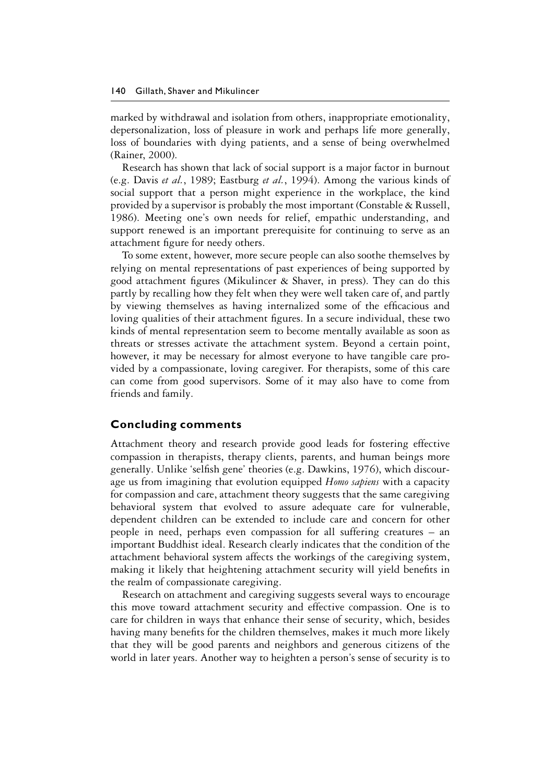marked by withdrawal and isolation from others, inappropriate emotionality, depersonalization, loss of pleasure in work and perhaps life more generally, loss of boundaries with dying patients, and a sense of being overwhelmed (Rainer, 2000).

Research has shown that lack of social support is a major factor in burnout (e.g. Davis *et al.*, 1989; Eastburg *et al.*, 1994). Among the various kinds of social support that a person might experience in the workplace, the kind provided by a supervisor is probably the most important (Constable & Russell, 1986). Meeting one's own needs for relief, empathic understanding, and support renewed is an important prerequisite for continuing to serve as an attachment figure for needy others.

To some extent, however, more secure people can also soothe themselves by relying on mental representations of past experiences of being supported by good attachment figures (Mikulincer & Shaver, in press). They can do this partly by recalling how they felt when they were well taken care of, and partly by viewing themselves as having internalized some of the efficacious and loving qualities of their attachment figures. In a secure individual, these two kinds of mental representation seem to become mentally available as soon as threats or stresses activate the attachment system. Beyond a certain point, however, it may be necessary for almost everyone to have tangible care provided by a compassionate, loving caregiver. For therapists, some of this care can come from good supervisors. Some of it may also have to come from friends and family.

## **Concluding comments**

Attachment theory and research provide good leads for fostering effective compassion in therapists, therapy clients, parents, and human beings more generally. Unlike 'selfish gene' theories (e.g. Dawkins, 1976), which discourage us from imagining that evolution equipped *Homo sapiens* with a capacity for compassion and care, attachment theory suggests that the same caregiving behavioral system that evolved to assure adequate care for vulnerable, dependent children can be extended to include care and concern for other people in need, perhaps even compassion for all suffering creatures – an important Buddhist ideal. Research clearly indicates that the condition of the attachment behavioral system affects the workings of the caregiving system, making it likely that heightening attachment security will yield benefits in the realm of compassionate caregiving.

Research on attachment and caregiving suggests several ways to encourage this move toward attachment security and effective compassion. One is to care for children in ways that enhance their sense of security, which, besides having many benefits for the children themselves, makes it much more likely that they will be good parents and neighbors and generous citizens of the world in later years. Another way to heighten a person's sense of security is to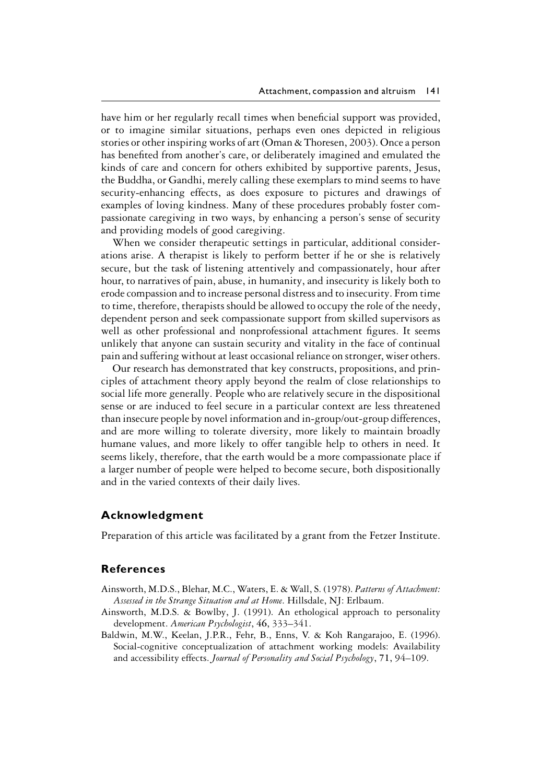have him or her regularly recall times when beneficial support was provided, or to imagine similar situations, perhaps even ones depicted in religious stories or other inspiring works of art (Oman & Thoresen, 2003). Once a person has benefited from another's care, or deliberately imagined and emulated the kinds of care and concern for others exhibited by supportive parents, Jesus, the Buddha, or Gandhi, merely calling these exemplars to mind seems to have security-enhancing effects, as does exposure to pictures and drawings of examples of loving kindness. Many of these procedures probably foster compassionate caregiving in two ways, by enhancing a person's sense of security and providing models of good caregiving.

When we consider therapeutic settings in particular, additional considerations arise. A therapist is likely to perform better if he or she is relatively secure, but the task of listening attentively and compassionately, hour after hour, to narratives of pain, abuse, in humanity, and insecurity is likely both to erode compassion and to increase personal distress and to insecurity. From time to time, therefore, therapists should be allowed to occupy the role of the needy, dependent person and seek compassionate support from skilled supervisors as well as other professional and nonprofessional attachment figures. It seems unlikely that anyone can sustain security and vitality in the face of continual pain and suffering without at least occasional reliance on stronger, wiser others.

Our research has demonstrated that key constructs, propositions, and principles of attachment theory apply beyond the realm of close relationships to social life more generally. People who are relatively secure in the dispositional sense or are induced to feel secure in a particular context are less threatened than insecure people by novel information and in-group/out-group differences, and are more willing to tolerate diversity, more likely to maintain broadly humane values, and more likely to offer tangible help to others in need. It seems likely, therefore, that the earth would be a more compassionate place if a larger number of people were helped to become secure, both dispositionally and in the varied contexts of their daily lives.

## **Acknowledgment**

Preparation of this article was facilitated by a grant from the Fetzer Institute.

## **References**

- Ainsworth, M.D.S., Blehar, M.C., Waters, E. & Wall, S. (1978). *Patterns of Attachment: Assessed in the Strange Situation and at Home*. Hillsdale, NJ: Erlbaum.
- Ainsworth, M.D.S. & Bowlby, J. (1991). An ethological approach to personality development. *American Psychologist*, **46**, 333–341.
- Baldwin, M.W., Keelan, J.P.R., Fehr, B., Enns, V. & Koh Rangarajoo, E. (1996). Social-cognitive conceptualization of attachment working models: Availability and accessibility effects. *Journal of Personality and Social Psychology*, **71**, 94–109.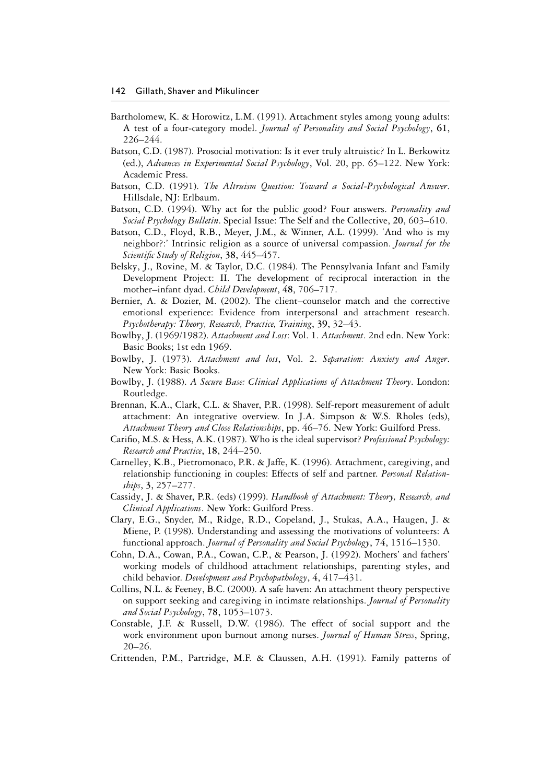- Bartholomew, K. & Horowitz, L.M. (1991). Attachment styles among young adults: A test of a four-category model. *Journal of Personality and Social Psychology*, **61**, 226–244.
- Batson, C.D. (1987). Prosocial motivation: Is it ever truly altruistic? In L. Berkowitz (ed.), *Advances in Experimental Social Psychology*, Vol. 20, pp. 65–122. New York: Academic Press.
- Batson, C.D. (1991). *The Altruism Question: Toward a Social-Psychological Answer*. Hillsdale, NJ: Erlbaum.
- Batson, C.D. (1994). Why act for the public good? Four answers. *Personality and Social Psychology Bulletin*. Special Issue: The Self and the Collective, **20**, 603–610.
- Batson, C.D., Floyd, R.B., Meyer, J.M., & Winner, A.L. (1999). 'And who is my neighbor?:' Intrinsic religion as a source of universal compassion. *Journal for the Scientific Study of Religion*, **38**, 445–457.
- Belsky, J., Rovine, M. & Taylor, D.C. (1984). The Pennsylvania Infant and Family Development Project: II. The development of reciprocal interaction in the mother–infant dyad. *Child Development*, **48**, 706–717.
- Bernier, A. & Dozier, M. (2002). The client–counselor match and the corrective emotional experience: Evidence from interpersonal and attachment research. *Psychotherapy: Theory, Research, Practice, Training*, **39**, 32–43.
- Bowlby, J. (1969/1982). *Attachment and Loss*: Vol. 1. *Attachment*. 2nd edn. New York: Basic Books; 1st edn 1969.
- Bowlby, J. (1973). *Attachment and loss*, Vol. 2. *Separation: Anxiety and Anger*. New York: Basic Books.
- Bowlby, J. (1988). *A Secure Base: Clinical Applications of Attachment Theory*. London: Routledge.
- Brennan, K.A., Clark, C.L. & Shaver, P.R. (1998). Self-report measurement of adult attachment: An integrative overview. In J.A. Simpson & W.S. Rholes (eds), *Attachment Theory and Close Relationships*, pp. 46–76. New York: Guilford Press.
- Carifio, M.S. & Hess, A.K. (1987). Who is the ideal supervisor? *Professional Psychology: Research and Practice*, **18**, 244–250.
- Carnelley, K.B., Pietromonaco, P.R. & Jaffe, K. (1996). Attachment, caregiving, and relationship functioning in couples: Effects of self and partner. *Personal Relationships*, **3**, 257–277.
- Cassidy, J. & Shaver, P.R. (eds) (1999). *Handbook of Attachment: Theory, Research, and Clinical Applications*. New York: Guilford Press.
- Clary, E.G., Snyder, M., Ridge, R.D., Copeland, J., Stukas, A.A., Haugen, J. & Miene, P. (1998). Understanding and assessing the motivations of volunteers: A functional approach. *Journal of Personality and Social Psychology*, **74**, 1516–1530.
- Cohn, D.A., Cowan, P.A., Cowan, C.P., & Pearson, J. (1992). Mothers' and fathers' working models of childhood attachment relationships, parenting styles, and child behavior. *Development and Psychopathology*, **4**, 417–431.
- Collins, N.L. & Feeney, B.C. (2000). A safe haven: An attachment theory perspective on support seeking and caregiving in intimate relationships. *Journal of Personality and Social Psychology*, **78**, 1053–1073.
- Constable, J.F. & Russell, D.W. (1986). The effect of social support and the work environment upon burnout among nurses. *Journal of Human Stress*, Spring, 20–26.
- Crittenden, P.M., Partridge, M.F. & Claussen, A.H. (1991). Family patterns of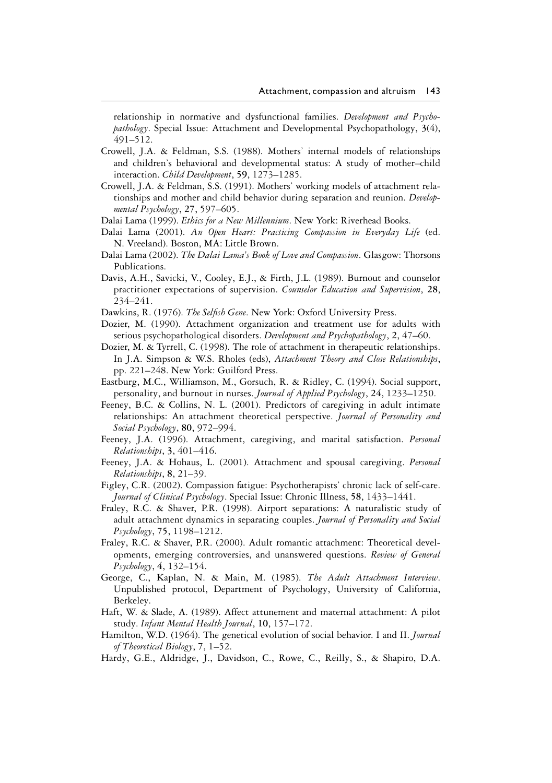relationship in normative and dysfunctional families. *Development and Psychopathology*. Special Issue: Attachment and Developmental Psychopathology, **3**(4), 491–512.

- Crowell, J.A. & Feldman, S.S. (1988). Mothers' internal models of relationships and children's behavioral and developmental status: A study of mother–child interaction. *Child Development*, **59**, 1273–1285.
- Crowell, J.A. & Feldman, S.S. (1991). Mothers' working models of attachment relationships and mother and child behavior during separation and reunion. *Developmental Psychology*, **27**, 597–605.
- Dalai Lama (1999). *Ethics for a New Millennium*. New York: Riverhead Books.
- Dalai Lama (2001). *An Open Heart: Practicing Compassion in Everyday Life* (ed. N. Vreeland). Boston, MA: Little Brown.
- Dalai Lama (2002). *The Dalai Lama's Book of Love and Compassion*. Glasgow: Thorsons Publications.
- Davis, A.H., Savicki, V., Cooley, E.J., & Firth, J.L. (1989). Burnout and counselor practitioner expectations of supervision. *Counselor Education and Supervision*, **28**, 234–241.
- Dawkins, R. (1976). *The Selfish Gene*. New York: Oxford University Press.
- Dozier, M. (1990). Attachment organization and treatment use for adults with serious psychopathological disorders. *Development and Psychopathology*, **2**, 47–60.
- Dozier, M. & Tyrrell, C. (1998). The role of attachment in therapeutic relationships. In J.A. Simpson & W.S. Rholes (eds), *Attachment Theory and Close Relationships*, pp. 221–248. New York: Guilford Press.
- Eastburg, M.C., Williamson, M., Gorsuch, R. & Ridley, C. (1994). Social support, personality, and burnout in nurses. *Journal of Applied Psychology*, **24**, 1233–1250.
- Feeney, B.C. & Collins, N. L. (2001). Predictors of caregiving in adult intimate relationships: An attachment theoretical perspective. *Journal of Personality and Social Psychology*, **80**, 972–994.
- Feeney, J.A. (1996). Attachment, caregiving, and marital satisfaction. *Personal Relationships*, **3**, 401–416.
- Feeney, J.A. & Hohaus, L. (2001). Attachment and spousal caregiving. *Personal Relationships*, **8**, 21–39.
- Figley, C.R. (2002). Compassion fatigue: Psychotherapists' chronic lack of self-care. *Journal of Clinical Psychology*. Special Issue: Chronic Illness, **58**, 1433–1441.
- Fraley, R.C. & Shaver, P.R. (1998). Airport separations: A naturalistic study of adult attachment dynamics in separating couples. *Journal of Personality and Social Psychology*, **75**, 1198–1212.
- Fraley, R.C. & Shaver, P.R. (2000). Adult romantic attachment: Theoretical developments, emerging controversies, and unanswered questions. *Review of General Psychology*, **4**, 132–154.
- George, C., Kaplan, N. & Main, M. (1985). *The Adult Attachment Interview*. Unpublished protocol, Department of Psychology, University of California, Berkeley.
- Haft, W. & Slade, A. (1989). Affect attunement and maternal attachment: A pilot study. *Infant Mental Health Journal*, **10**, 157–172.
- Hamilton, W.D. (1964). The genetical evolution of social behavior. I and II. *Journal of Theoretical Biology*, **7**, 1–52.
- Hardy, G.E., Aldridge, J., Davidson, C., Rowe, C., Reilly, S., & Shapiro, D.A.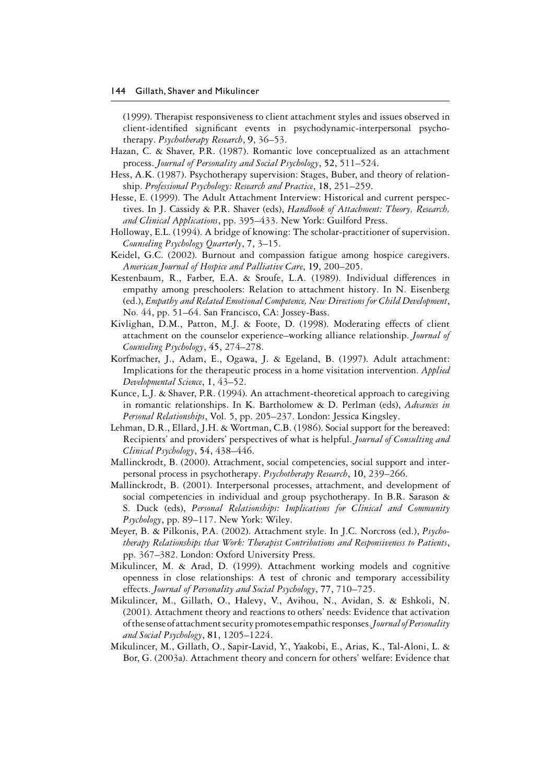(1999). Therapist responsiveness to client attachment styles and issues observed in client-identified significant events in psychodynamic-interpersonal psychotherapy. *Psychotherapy Research*, **9**, 36–53.

- Hazan, C. & Shaver, P.R. (1987). Romantic love conceptualized as an attachment process. *Journal of Personality and Social Psychology*, **52**, 511–524.
- Hess, A.K. (1987). Psychotherapy supervision: Stages, Buber, and theory of relationship. *Professional Psychology: Research and Practice*, **18**, 251–259.
- Hesse, E. (1999). The Adult Attachment Interview: Historical and current perspectives. In J. Cassidy & P.R. Shaver (eds), *Handbook of Attachment: Theory, Research, and Clinical Applications*, pp. 395–433. New York: Guilford Press.
- Holloway, E.L. (1994). A bridge of knowing: The scholar-practitioner of supervision. *Counseling Psychology Quarterly*, **7**, 3–15.
- Keidel, G.C. (2002). Burnout and compassion fatigue among hospice caregivers. *American Journal of Hospice and Palliative Care*, **19**, 200–205.
- Kestenbaum, R., Farber, E.A. & Sroufe, L.A. (1989). Individual differences in empathy among preschoolers: Relation to attachment history. In N. Eisenberg (ed.), *Empathy and Related Emotional Competence, New Directions for Child Development*, No. 44, pp. 51–64. San Francisco, CA: Jossey-Bass.
- Kivlighan, D.M., Patton, M.J. & Foote, D. (1998). Moderating effects of client attachment on the counselor experience–working alliance relationship. *Journal of Counseling Psychology*, **45**, 274–278.
- Korfmacher, J., Adam, E., Ogawa, J. & Egeland, B. (1997). Adult attachment: Implications for the therapeutic process in a home visitation intervention. *Applied Developmental Science*, **1**, 43–52.
- Kunce, L.J. & Shaver, P.R. (1994). An attachment-theoretical approach to caregiving in romantic relationships. In K. Bartholomew & D. Perlman (eds), *Advances in Personal Relationships*, Vol. 5, pp. 205–237. London: Jessica Kingsley.
- Lehman, D.R., Ellard, J.H. & Wortman, C.B. (1986). Social support for the bereaved: Recipients' and providers' perspectives of what is helpful. *Journal of Consulting and Clinical Psychology*, **54**, 438–446.
- Mallinckrodt, B. (2000). Attachment, social competencies, social support and interpersonal process in psychotherapy. *Psychotherapy Research*, **10**, 239–266.
- Mallinckrodt, B. (2001). Interpersonal processes, attachment, and development of social competencies in individual and group psychotherapy. In B.R. Sarason & S. Duck (eds), *Personal Relationships: Implications for Clinical and Community Psychology*, pp. 89–117. New York: Wiley.
- Meyer, B. & Pilkonis, P.A. (2002). Attachment style. In J.C. Norcross (ed.), *Psychotherapy Relationships that Work: Therapist Contributions and Responsiveness to Patients*, pp. 367–382. London: Oxford University Press.
- Mikulincer, M. & Arad, D. (1999). Attachment working models and cognitive openness in close relationships: A test of chronic and temporary accessibility effects. *Journal of Personality and Social Psychology*, **77**, 710–725.
- Mikulincer, M., Gillath, O., Halevy, V., Avihou, N., Avidan, S. & Eshkoli, N. (2001). Attachment theory and reactions to others' needs: Evidence that activation of the sense of attachment security promotes empathic responses. *Journal of Personality and Social Psychology*, **81**, 1205–1224.
- Mikulincer, M., Gillath, O., Sapir-Lavid, Y., Yaakobi, E., Arias, K., Tal-Aloni, L. & Bor, G. (2003a). Attachment theory and concern for others' welfare: Evidence that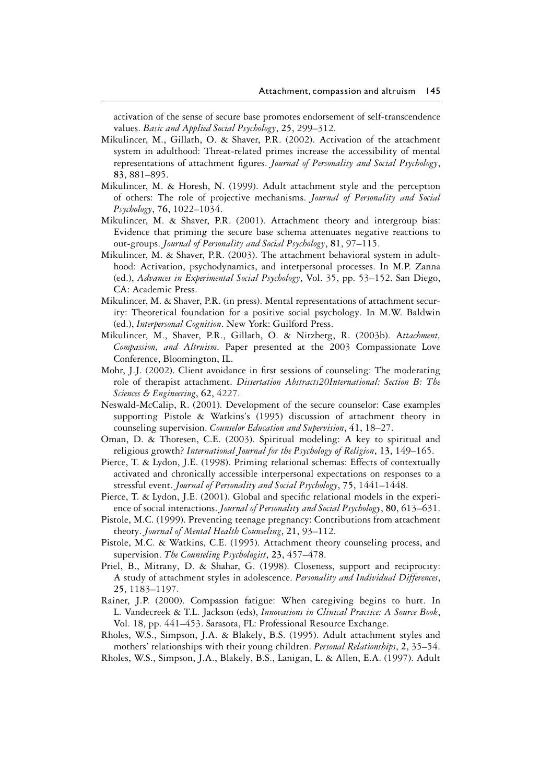activation of the sense of secure base promotes endorsement of self-transcendence values. *Basic and Applied Social Psychology*, **25**, 299–312.

- Mikulincer, M., Gillath, O. & Shaver, P.R. (2002). Activation of the attachment system in adulthood: Threat-related primes increase the accessibility of mental representations of attachment figures. *Journal of Personality and Social Psychology*, **83**, 881–895.
- Mikulincer, M. & Horesh, N. (1999). Adult attachment style and the perception of others: The role of projective mechanisms. *Journal of Personality and Social Psychology*, **76**, 1022–1034.
- Mikulincer, M. & Shaver, P.R. (2001). Attachment theory and intergroup bias: Evidence that priming the secure base schema attenuates negative reactions to out-groups. *Journal of Personality and Social Psychology*, **81**, 97–115.
- Mikulincer, M. & Shaver, P.R. (2003). The attachment behavioral system in adulthood: Activation, psychodynamics, and interpersonal processes. In M.P. Zanna (ed.), *Advances in Experimental Social Psychology*, Vol. 35, pp. 53–152. San Diego, CA: Academic Press.
- Mikulincer, M. & Shaver, P.R. (in press). Mental representations of attachment security: Theoretical foundation for a positive social psychology. In M.W. Baldwin (ed.), *Interpersonal Cognition*. New York: Guilford Press.
- Mikulincer, M., Shaver, P.R., Gillath, O. & Nitzberg, R. (2003b). A*ttachment, Compassion, and Altruism*. Paper presented at the 2003 Compassionate Love Conference, Bloomington, IL.
- Mohr, J.J. (2002). Client avoidance in first sessions of counseling: The moderating role of therapist attachment. *Dissertation Abstracts20International: Section B: The Sciences & Engineering*, **62**, 4227.
- Neswald-McCalip, R. (2001). Development of the secure counselor: Case examples supporting Pistole & Watkins's (1995) discussion of attachment theory in counseling supervision. *Counselor Education and Supervision*, **41**, 18–27.
- Oman, D. & Thoresen, C.E. (2003). Spiritual modeling: A key to spiritual and religious growth? *International Journal for the Psychology of Religion*, **13**, 149–165.
- Pierce, T. & Lydon, J.E. (1998). Priming relational schemas: Effects of contextually activated and chronically accessible interpersonal expectations on responses to a stressful event. *Journal of Personality and Social Psychology*, **75**, 1441–1448.
- Pierce, T. & Lydon, J.E. (2001). Global and specific relational models in the experience of social interactions. *Journal of Personality and Social Psychology*, **80**, 613–631.
- Pistole, M.C. (1999). Preventing teenage pregnancy: Contributions from attachment theory. *Journal of Mental Health Counseling*, **21**, 93–112.
- Pistole, M.C. & Watkins, C.E. (1995). Attachment theory counseling process, and supervision. *The Counseling Psychologist*, **23**, 457–478.
- Priel, B., Mitrany, D. & Shahar, G. (1998). Closeness, support and reciprocity: A study of attachment styles in adolescence. *Personality and Individual Differences*, **25**, 1183–1197.
- Rainer, J.P. (2000). Compassion fatigue: When caregiving begins to hurt. In L. Vandecreek & T.L. Jackson (eds), *Innovations in Clinical Practice: A Source Book*, Vol. 18, pp. 441–453. Sarasota, FL: Professional Resource Exchange.
- Rholes, W.S., Simpson, J.A. & Blakely, B.S. (1995). Adult attachment styles and mothers' relationships with their young children. *Personal Relationships*, **2**, 35–54.
- Rholes, W.S., Simpson, J.A., Blakely, B.S., Lanigan, L. & Allen, E.A. (1997). Adult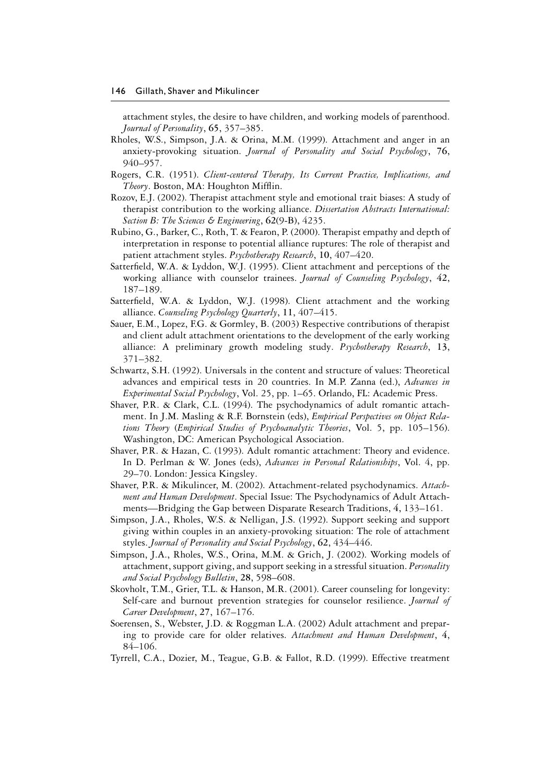attachment styles, the desire to have children, and working models of parenthood. *Journal of Personality*, **65**, 357–385.

- Rholes, W.S., Simpson, J.A. & Orina, M.M. (1999). Attachment and anger in an anxiety-provoking situation. *Journal of Personality and Social Psychology*, **76**, 940–957.
- Rogers, C.R. (1951). *Client-centered Therapy, Its Current Practice, Implications, and Theory*. Boston, MA: Houghton Mifflin.
- Rozov, E.J. (2002). Therapist attachment style and emotional trait biases: A study of therapist contribution to the working alliance. *Dissertation Abstracts International: Section B: The Sciences & Engineering*, **62**(9-B), 4235.
- Rubino, G., Barker, C., Roth, T. & Fearon, P. (2000). Therapist empathy and depth of interpretation in response to potential alliance ruptures: The role of therapist and patient attachment styles. *Psychotherapy Research*, **10**, 407–420.
- Satterfield, W.A. & Lyddon, W.J. (1995). Client attachment and perceptions of the working alliance with counselor trainees. *Journal of Counseling Psychology*, **42**, 187–189.
- Satterfield, W.A. & Lyddon, W.J. (1998). Client attachment and the working alliance. *Counseling Psychology Quarterly*, **11**, 407–415.
- Sauer, E.M., Lopez, F.G. & Gormley, B. (2003) Respective contributions of therapist and client adult attachment orientations to the development of the early working alliance: A preliminary growth modeling study. *Psychotherapy Research*, **13**, 371–382.
- Schwartz, S.H. (1992). Universals in the content and structure of values: Theoretical advances and empirical tests in 20 countries. In M.P. Zanna (ed.), *Advances in Experimental Social Psychology*, Vol. 25, pp. 1–65. Orlando, FL: Academic Press.
- Shaver, P.R. & Clark, C.L. (1994). The psychodynamics of adult romantic attachment. In J.M. Masling & R.F. Bornstein (eds), *Empirical Perspectives on Object Relations Theory* (*Empirical Studies of Psychoanalytic Theories*, Vol. 5, pp. 105–156). Washington, DC: American Psychological Association.
- Shaver, P.R. & Hazan, C. (1993). Adult romantic attachment: Theory and evidence. In D. Perlman & W. Jones (eds), *Advances in Personal Relationships*, Vol. 4, pp. 29–70. London: Jessica Kingsley.
- Shaver, P.R. & Mikulincer, M. (2002). Attachment-related psychodynamics. *Attachment and Human Development*. Special Issue: The Psychodynamics of Adult Attachments—Bridging the Gap between Disparate Research Traditions, **4**, 133–161.
- Simpson, J.A., Rholes, W.S. & Nelligan, J.S. (1992). Support seeking and support giving within couples in an anxiety-provoking situation: The role of attachment styles. *Journal of Personality and Social Psychology*, **62**, 434–446.
- Simpson, J.A., Rholes, W.S., Orina, M.M. & Grich, J. (2002). Working models of attachment, support giving, and support seeking in a stressful situation. *Personality and Social Psychology Bulletin*, **28**, 598–608.
- Skovholt, T.M., Grier, T.L. & Hanson, M.R. (2001). Career counseling for longevity: Self-care and burnout prevention strategies for counselor resilience. *Journal of Career Development*, **27**, 167–176.
- Soerensen, S., Webster, J.D. & Roggman L.A. (2002) Adult attachment and preparing to provide care for older relatives. *Attachment and Human Development*, **4**, 84–106.
- Tyrrell, C.A., Dozier, M., Teague, G.B. & Fallot, R.D. (1999). Effective treatment